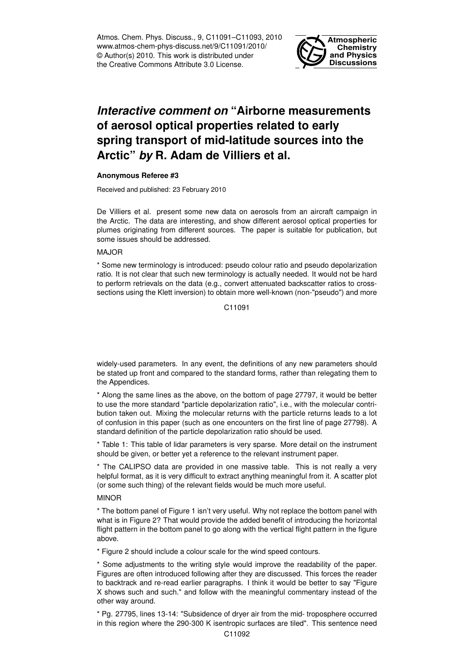Atmos. Chem. Phys. Discuss., 9, C11091–C11093, 2010 www.atmos-chem-phys-discuss.net/9/C11091/2010/ © Author(s) 2010. This work is distributed under the Creative Commons Attribute 3.0 License.



## *Interactive comment on* **"Airborne measurements of aerosol optical properties related to early spring transport of mid-latitude sources into the Arctic"** *by* **R. Adam de Villiers et al.**

## **Anonymous Referee #3**

Received and published: 23 February 2010

De Villiers et al. present some new data on aerosols from an aircraft campaign in the Arctic. The data are interesting, and show different aerosol optical properties for plumes originating from different sources. The paper is suitable for publication, but some issues should be addressed.

## MAJOR

\* Some new terminology is introduced: pseudo colour ratio and pseudo depolarization ratio. It is not clear that such new terminology is actually needed. It would not be hard to perform retrievals on the data (e.g., convert attenuated backscatter ratios to crosssections using the Klett inversion) to obtain more well-known (non-"pseudo") and more

C11091

widely-used parameters. In any event, the definitions of any new parameters should be stated up front and compared to the standard forms, rather than relegating them to the Appendices.

\* Along the same lines as the above, on the bottom of page 27797, it would be better to use the more standard "particle depolarization ratio", i.e., with the molecular contribution taken out. Mixing the molecular returns with the particle returns leads to a lot of confusion in this paper (such as one encounters on the first line of page 27798). A standard definition of the particle depolarization ratio should be used.

\* Table 1: This table of lidar parameters is very sparse. More detail on the instrument should be given, or better yet a reference to the relevant instrument paper.

\* The CALIPSO data are provided in one massive table. This is not really a very helpful format, as it is very difficult to extract anything meaningful from it. A scatter plot (or some such thing) of the relevant fields would be much more useful.

## MINOR

\* The bottom panel of Figure 1 isn't very useful. Why not replace the bottom panel with what is in Figure 2? That would provide the added benefit of introducing the horizontal flight pattern in the bottom panel to go along with the vertical flight pattern in the figure above.

\* Figure 2 should include a colour scale for the wind speed contours.

\* Some adjustments to the writing style would improve the readability of the paper. Figures are often introduced following after they are discussed. This forces the reader to backtrack and re-read earlier paragraphs. I think it would be better to say "Figure X shows such and such." and follow with the meaningful commentary instead of the other way around.

\* Pg. 27795, lines 13-14: "Subsidence of dryer air from the mid- troposphere occurred in this region where the 290-300 K isentropic surfaces are tiled". This sentence need